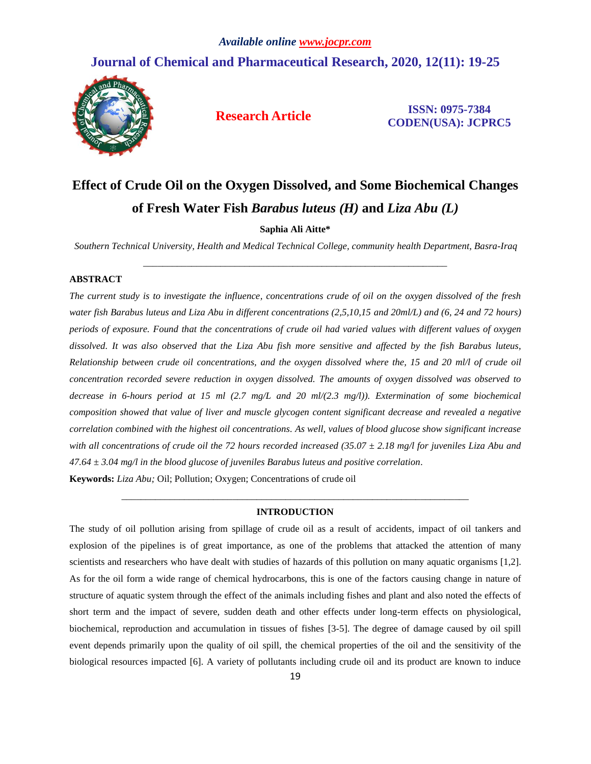## **Journal of Chemical and Pharmaceutical Research, 2020, 12(11): 19-25**



**Research Article ISSN: 0975-7384 CODEN(USA): JCPRC5**

# **Effect of Crude Oil on the Oxygen Dissolved, and Some Biochemical Changes of Fresh Water Fish** *Barabus luteus (H)* **and** *Liza Abu (L)*

**Saphia Ali Aitte\***

*Southern Technical University, Health and Medical Technical College, community health Department, Basra-Iraq* \_\_\_\_\_\_\_\_\_\_\_\_\_\_\_\_\_\_\_\_\_\_\_\_\_\_\_\_\_\_\_\_\_\_\_\_\_\_\_\_\_\_\_\_\_\_\_\_\_\_\_\_\_\_\_\_\_\_\_\_\_\_\_

#### **ABSTRACT**

*The current study is to investigate the influence, concentrations crude of oil on the oxygen dissolved of the fresh water fish Barabus luteus and Liza Abu in different concentrations (2,5,10,15 and 20ml/L) and (6, 24 and 72 hours) periods of exposure. Found that the concentrations of crude oil had varied values with different values of oxygen dissolved. It was also observed that the Liza Abu fish more sensitive and affected by the fish Barabus luteus, Relationship between crude oil concentrations, and the oxygen dissolved where the, 15 and 20 ml/l of crude oil concentration recorded severe reduction in oxygen dissolved. The amounts of oxygen dissolved was observed to decrease in 6-hours period at 15 ml (2.7 mg/L and 20 ml/(2.3 mg/l)). Extermination of some biochemical composition showed that value of liver and muscle glycogen content significant decrease and revealed a negative correlation combined with the highest oil concentrations. As well, values of blood glucose show significant increase with all concentrations of crude oil the 72 hours recorded increased (35.07 ± 2.18 mg/l for juveniles Liza Abu and 47.64 ± 3.04 mg/l in the blood glucose of juveniles Barabus luteus and positive correlation.*

**Keywords:** *Liza Abu;* Oil; Pollution; Oxygen; Concentrations of crude oil

### *\_\_\_\_\_\_\_\_\_\_\_\_\_\_\_\_\_\_\_\_\_\_\_\_\_\_\_\_\_\_\_\_\_\_\_\_\_\_\_\_\_\_\_\_\_\_\_\_\_\_\_\_\_\_\_\_\_\_\_\_\_\_\_\_\_\_\_\_\_\_\_\_* **INTRODUCTION**

The study of oil pollution arising from spillage of crude oil as a result of accidents, impact of oil tankers and explosion of the pipelines is of great importance, as one of the problems that attacked the attention of many scientists and researchers who have dealt with studies of hazards of this pollution on many aquatic organisms [1,2]. As for the oil form a wide range of chemical hydrocarbons, this is one of the factors causing change in nature of structure of aquatic system through the effect of the animals including fishes and plant and also noted the effects of short term and the impact of severe, sudden death and other effects under long-term effects on physiological, biochemical, reproduction and accumulation in tissues of fishes [3-5]. The degree of damage caused by oil spill event depends primarily upon the quality of oil spill, the chemical properties of the oil and the sensitivity of the biological resources impacted [6]. A variety of pollutants including crude oil and its product are known to induce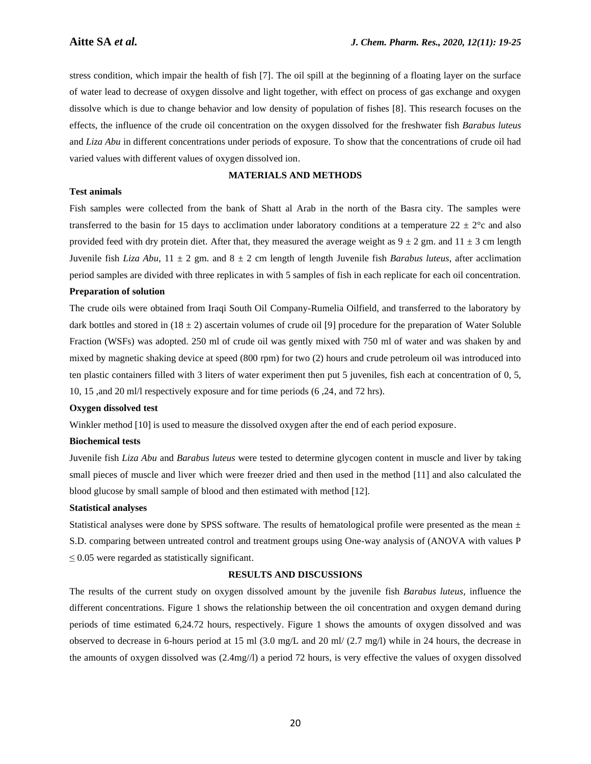stress condition, which impair the health of fish [7]. The oil spill at the beginning of a floating layer on the surface of water lead to decrease of oxygen dissolve and light together, with effect on process of gas exchange and oxygen dissolve which is due to change behavior and low density of population of fishes [8]. This research focuses on the effects, the influence of the crude oil concentration on the oxygen dissolved for the freshwater fish *Barabus luteus* and *Liza Abu* in different concentrations under periods of exposure. To show that the concentrations of crude oil had varied values with different values of oxygen dissolved ion.

#### **MATERIALS AND METHODS**

#### **Test animals**

Fish samples were collected from the bank of Shatt al Arab in the north of the Basra city. The samples were transferred to the basin for 15 days to acclimation under laboratory conditions at a temperature  $22 \pm 2^{\circ}c$  and also provided feed with dry protein diet. After that, they measured the average weight as  $9 \pm 2$  gm. and  $11 \pm 3$  cm length Juvenile fish *Liza Abu*, 11 ± 2 gm. and 8 ± 2 cm length of length Juvenile fish *Barabus luteus*, after acclimation period samples are divided with three replicates in with 5 samples of fish in each replicate for each oil concentration.

#### **Preparation of solution**

The crude oils were obtained from Iraqi South Oil Company-Rumelia Oilfield, and transferred to the laboratory by dark bottles and stored in  $(18 \pm 2)$  ascertain volumes of crude oil [9] procedure for the preparation of Water Soluble Fraction (WSFs) was adopted. 250 ml of crude oil was gently mixed with 750 ml of water and was shaken by and mixed by magnetic shaking device at speed (800 rpm) for two (2) hours and crude petroleum oil was introduced into ten plastic containers filled with 3 liters of water experiment then put 5 juveniles, fish each at concentration of 0, 5, 10, 15 ,and 20 ml/l respectively exposure and for time periods (6 ,24, and 72 hrs).

#### **Oxygen dissolved test**

Winkler method [10] is used to measure the dissolved oxygen after the end of each period exposure.

#### **Biochemical tests**

Juvenile fish *Liza Abu* and *Barabus luteus* were tested to determine glycogen content in muscle and liver by taking small pieces of muscle and liver which were freezer dried and then used in the method [11] and also calculated the blood glucose by small sample of blood and then estimated with method [12].

#### **Statistical analyses**

Statistical analyses were done by SPSS software. The results of hematological profile were presented as the mean  $\pm$ S.D. comparing between untreated control and treatment groups using One-way analysis of (ANOVA with values P  $\leq$  0.05 were regarded as statistically significant.

#### **RESULTS AND DISCUSSIONS**

The results of the current study on oxygen dissolved amount by the juvenile fish *Barabus luteus*, influence the different concentrations. Figure 1 shows the relationship between the oil concentration and oxygen demand during periods of time estimated 6,24.72 hours, respectively. Figure 1 shows the amounts of oxygen dissolved and was observed to decrease in 6-hours period at 15 ml (3.0 mg/L and 20 ml/ (2.7 mg/l) while in 24 hours, the decrease in the amounts of oxygen dissolved was (2.4mg//l) a period 72 hours, is very effective the values of oxygen dissolved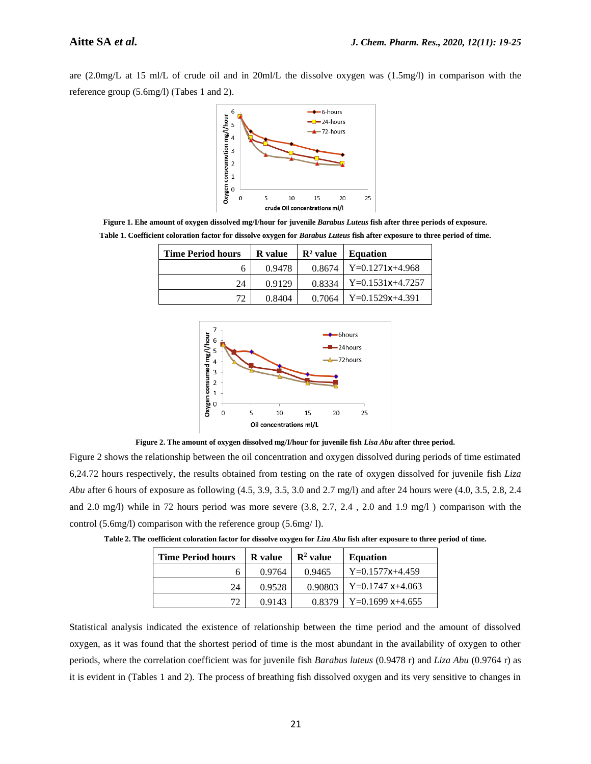are (2.0mg/L at 15 ml/L of crude oil and in 20ml/L the dissolve oxygen was (1.5mg/l) in comparison with the reference group (5.6mg/l) (Tabes 1 and 2).



**Figure 1. Ehe amount of oxygen dissolved mg/I/hour for juvenile** *Barabus Luteus* **fish after three periods of exposure. Table 1. Coefficient coloration factor for dissolve oxygen for** *Barabus Luteus* **fish after exposure to three period of time.**

| <b>Time Period hours</b> | <b>R</b> value | $\mathbf{R}^2$ value | <b>Equation</b>    |  |
|--------------------------|----------------|----------------------|--------------------|--|
|                          | 0.9478         | 0.8674               | $Y=0.1271x+4.968$  |  |
| 24                       | 0.9129         | 0.8334               | $Y=0.1531x+4.7257$ |  |
| 72                       | 0.8404         | 0.7064               | $Y=0.1529x+4.391$  |  |



**Figure 2. The amount of oxygen dissolved mg/I/hour for juvenile fish** *Lisa Abu* **after three period.**

Figure 2 shows the relationship between the oil concentration and oxygen dissolved during periods of time estimated 6,24.72 hours respectively, the results obtained from testing on the rate of oxygen dissolved for juvenile fish *Liza Abu* after 6 hours of exposure as following (4.5, 3.9, 3.5, 3.0 and 2.7 mg/l) and after 24 hours were (4.0, 3.5, 2.8, 2.4 and 2.0 mg/l) while in 72 hours period was more severe (3.8, 2.7, 2.4 , 2.0 and 1.9 mg/l ) comparison with the control (5.6mg/l) comparison with the reference group (5.6mg/ l).

| <b>Time Period hours</b> | <b>R</b> value | $\mathbb{R}^2$ value | <b>Equation</b>    |  |
|--------------------------|----------------|----------------------|--------------------|--|
| h                        | 0.9764         | 0.9465               | $Y=0.1577x+4.459$  |  |
| 24                       |                | 0.90803              | $Y=0.1747$ x+4.063 |  |

 $72 \begin{array}{|c|c|c|c|c|} \hline 0.9143 & 0.8379 & Y=0.1699 \text{ x} & +4.655 \hline \end{array}$ 

**Table 2. The coefficient coloration factor for dissolve oxygen for** *Liza Abu* **fish after exposure to three period of time.**

Statistical analysis indicated the existence of relationship between the time period and the amount of dissolved oxygen, as it was found that the shortest period of time is the most abundant in the availability of oxygen to other periods, where the correlation coefficient was for juvenile fish *Barabus luteus* (0.9478 r) and *Liza Abu* (0.9764 r) as it is evident in (Tables 1 and 2). The process of breathing fish dissolved oxygen and its very sensitive to changes in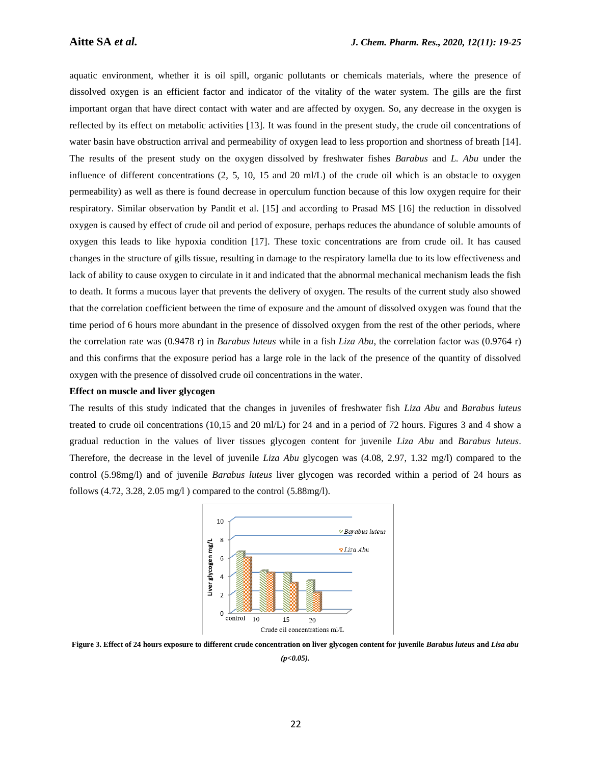aquatic environment, whether it is oil spill, organic pollutants or chemicals materials, where the presence of dissolved oxygen is an efficient factor and indicator of the vitality of the water system. The gills are the first important organ that have direct contact with water and are affected by oxygen. So, any decrease in the oxygen is reflected by its effect on metabolic activities [13]. It was found in the present study, the crude oil concentrations of water basin have obstruction arrival and permeability of oxygen lead to less proportion and shortness of breath [14]. The results of the present study on the oxygen dissolved by freshwater fishes *Barabus* and *L. Abu* under the influence of different concentrations  $(2, 5, 10, 15, 10)$  of the crude oil which is an obstacle to oxygen permeability) as well as there is found decrease in operculum function because of this low oxygen require for their respiratory. Similar observation by Pandit et al. [15] and according to Prasad MS [16] the reduction in dissolved oxygen is caused by effect of crude oil and period of exposure, perhaps reduces the abundance of soluble amounts of oxygen this leads to like hypoxia condition [17]. These toxic concentrations are from crude oil. It has caused changes in the structure of gills tissue, resulting in damage to the respiratory lamella due to its low effectiveness and lack of ability to cause oxygen to circulate in it and indicated that the abnormal mechanical mechanism leads the fish to death. It forms a mucous layer that prevents the delivery of oxygen. The results of the current study also showed that the correlation coefficient between the time of exposure and the amount of dissolved oxygen was found that the time period of 6 hours more abundant in the presence of dissolved oxygen from the rest of the other periods, where the correlation rate was (0.9478 r) in *Barabus luteus* while in a fish *Liza Abu*, the correlation factor was (0.9764 r) and this confirms that the exposure period has a large role in the lack of the presence of the quantity of dissolved oxygen with the presence of dissolved crude oil concentrations in the water.

#### **Effect on muscle and liver glycogen**

The results of this study indicated that the changes in juveniles of freshwater fish *Liza Abu* and *Barabus luteus* treated to crude oil concentrations (10,15 and 20 ml/L) for 24 and in a period of 72 hours. Figures 3 and 4 show a gradual reduction in the values of liver tissues glycogen content for juvenile *Liza Abu* and *Barabus luteus*. Therefore, the decrease in the level of juvenile *Liza Abu* glycogen was (4.08, 2.97, 1.32 mg/l) compared to the control (5.98mg/l) and of juvenile *Barabus luteus* liver glycogen was recorded within a period of 24 hours as follows  $(4.72, 3.28, 2.05 \text{ mg/l})$  compared to the control  $(5.88 \text{ mg/l})$ .



**Figure 3. Effect of 24 hours exposure to different crude concentration on liver glycogen content for juvenile** *Barabus luteus* **and** *Lisa abu (p<0.05).*

22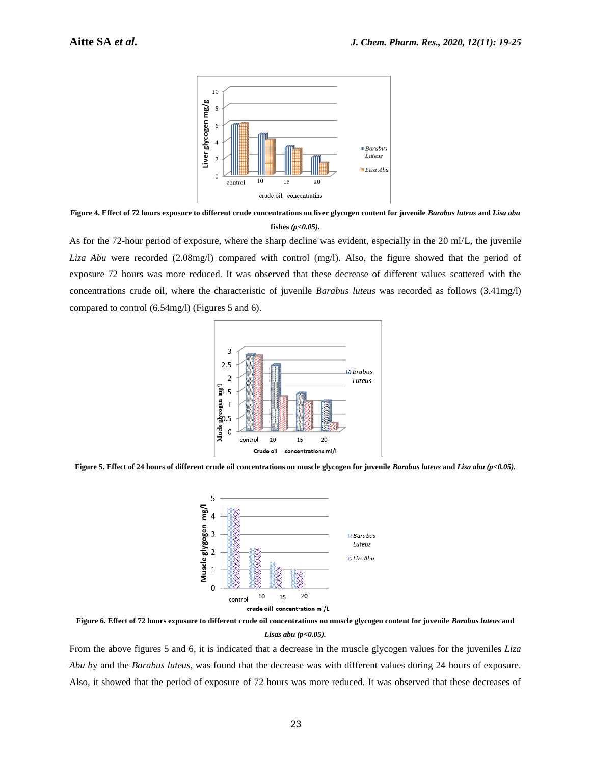

**Figure 4. Effect of 72 hours exposure to different crude concentrations on liver glycogen content for juvenile** *Barabus luteus* **and** *Lisa abu* **fishes** *(p<0.05).*

As for the 72-hour period of exposure, where the sharp decline was evident, especially in the 20 ml/L, the juvenile *Liza Abu* were recorded (2.08mg/l) compared with control (mg/l). Also, the figure showed that the period of exposure 72 hours was more reduced. It was observed that these decrease of different values scattered with the concentrations crude oil, where the characteristic of juvenile *Barabus luteus* was recorded as follows (3.41mg/l) compared to control (6.54mg/l) (Figures 5 and 6).



**Figure 5. Effect of 24 hours of different crude oil concentrations on muscle glycogen for juvenile** *Barabus luteus* **and** *Lisa abu (p<0.05).*



**Figure 6. Effect of 72 hours exposure to different crude oil concentrations on muscle glycogen content for juvenile** *Barabus luteus* **and**  *Lisas abu (p<0.05).*

From the above figures 5 and 6, it is indicated that a decrease in the muscle glycogen values for the juveniles *Liza Abu b*y and the *Barabus luteus*, was found that the decrease was with different values during 24 hours of exposure. Also, it showed that the period of exposure of 72 hours was more reduced. It was observed that these decreases of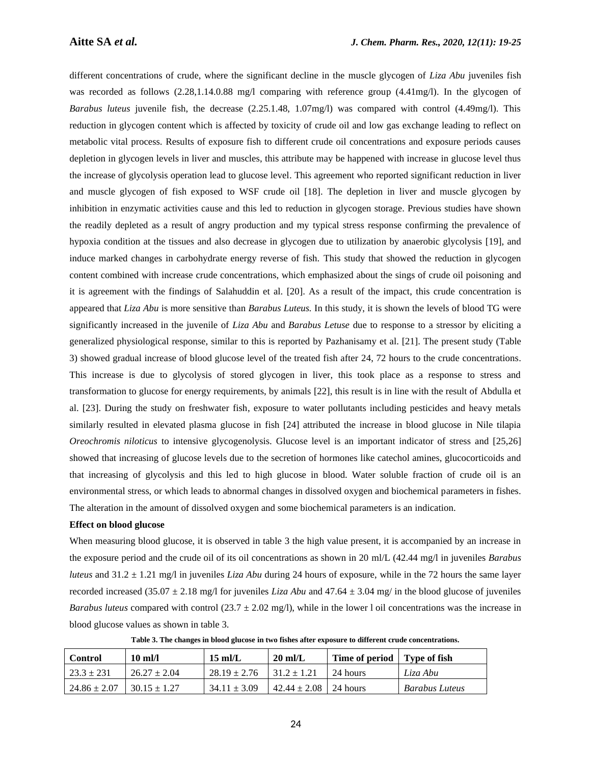different concentrations of crude, where the significant decline in the muscle glycogen of *Liza Abu* juveniles fish was recorded as follows (2.28,1.14.0.88 mg/l comparing with reference group (4.41mg/l). In the glycogen of *Barabus luteus* juvenile fish, the decrease (2.25.1.48, 1.07mg/l) was compared with control (4.49mg/l). This reduction in glycogen content which is affected by toxicity of crude oil and low gas exchange leading to reflect on metabolic vital process. Results of exposure fish to different crude oil concentrations and exposure periods causes depletion in glycogen levels in liver and muscles, this attribute may be happened with increase in glucose level thus the increase of glycolysis operation lead to glucose level. This agreement who reported significant reduction in liver and muscle glycogen of fish exposed to WSF crude oil [18]. The depletion in liver and muscle glycogen by inhibition in enzymatic activities cause and this led to reduction in glycogen storage. Previous studies have shown the readily depleted as a result of angry production and my typical stress response confirming the prevalence of hypoxia condition at the tissues and also decrease in glycogen due to utilization by anaerobic glycolysis [19], and induce marked changes in carbohydrate energy reverse of fish. This study that showed the reduction in glycogen content combined with increase crude concentrations, which emphasized about the sings of crude oil poisoning and it is agreement with the findings of Salahuddin et al. [20]. As a result of the impact, this crude concentration is appeared that *Liza Abu* is more sensitive than *Barabus Luteus.* In this study, it is shown the levels of blood TG were significantly increased in the juvenile of *Liza Abu* and *Barabus Letuse* due to response to a stressor by eliciting a generalized physiological response, similar to this is reported by Pazhanisamy et al. [21]. The present study (Table 3) showed gradual increase of blood glucose level of the treated fish after 24, 72 hours to the crude concentrations. This increase is due to glycolysis of stored glycogen in liver, this took place as a response to stress and transformation to glucose for energy requirements, by animals [22], this result is in line with the result of Abdulla et al. [23]. During the study on freshwater fish, exposure to water pollutants including pesticides and heavy metals similarly resulted in elevated plasma glucose in fish [24] attributed the increase in blood glucose in Nile tilapia *Oreochromis niloticus* to intensive glycogenolysis. Glucose level is an important indicator of stress and [25,26] showed that increasing of glucose levels due to the secretion of hormones like catechol amines, glucocorticoids and that increasing of glycolysis and this led to high glucose in blood. Water soluble fraction of crude oil is an environmental stress, or which leads to abnormal changes in dissolved oxygen and biochemical parameters in fishes. The alteration in the amount of dissolved oxygen and some biochemical parameters is an indication.

#### **Effect on blood glucose**

When measuring blood glucose, it is observed in table 3 the high value present, it is accompanied by an increase in the exposure period and the crude oil of its oil concentrations as shown in 20 ml/L (42.44 mg/l in juveniles *Barabus luteus* and 31.2 ± 1.21 mg/l in juveniles *Liza Abu* during 24 hours of exposure, while in the 72 hours the same layer recorded increased (35.07 ± 2.18 mg/l for juveniles *Liza Abu* and 47.64 ± 3.04 mg/ in the blood glucose of juveniles *Barabus luteus* compared with control  $(23.7 \pm 2.02 \text{ mg/l})$ , while in the lower l oil concentrations was the increase in blood glucose values as shown in table 3.

**Table 3. The changes in blood glucose in two fishes after exposure to different crude concentrations.**

| <b>Control</b>   | $10 \text{ ml/l}$ | $15 \text{ mL}$  | $20 \text{ ml/L}$           | Time of period   Type of fish |                       |
|------------------|-------------------|------------------|-----------------------------|-------------------------------|-----------------------|
| $23.3 \pm 231$   | $26.27 \pm 2.04$  | $28.19 \pm 2.76$ | $1.31.2 \pm 1.21$           | - 24 hours                    | Liza Abu              |
| $24.86 \pm 2.07$ | $30.15 \pm 1.27$  | $34.11 \pm 3.09$ | $42.44 \pm 2.08$   24 hours |                               | <b>Barabus Luteus</b> |